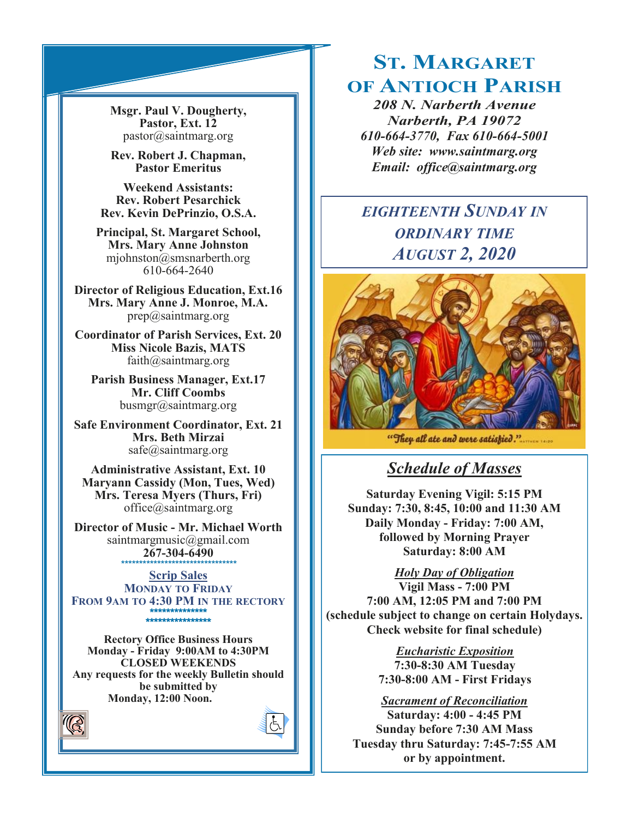**Msgr. Paul V. Dougherty, Pastor, Ext. 12** pastor@saintmarg.org

**Rev. Robert J. Chapman, Pastor Emeritus**

**Weekend Assistants: Rev. Robert Pesarchick Rev. Kevin DePrinzio, O.S.A.**

**Principal, St. Margaret School, Mrs. Mary Anne Johnston**  mjohnston@smsnarberth.org 610-664-2640

**Director of Religious Education, Ext.16 Mrs. Mary Anne J. Monroe, M.A.** prep@saintmarg.org

**Coordinator of Parish Services, Ext. 20 Miss Nicole Bazis, MATS** faith@saintmarg.org

**Parish Business Manager, Ext.17 Mr. Cliff Coombs** busmgr@saintmarg.org

**Safe Environment Coordinator, Ext. 21 Mrs. Beth Mirzai** safe@saintmarg.org

**Administrative Assistant, Ext. 10 Maryann Cassidy (Mon, Tues, Wed) Mrs. Teresa Myers (Thurs, Fri)** office@saintmarg.org

**Director of Music - Mr. Michael Worth** saintmargmusic@gmail.com **267-304-6490** *\*\*\*\*\*\*\*\*\*\*\*\*\*\*\*\*\*\*\*\*\*\*\*\*\*\*\*\*\*\*\*\**

**Scrip Sales MONDAY TO FRIDAY FROM 9AM TO 4:30 PM IN THE RECTORY \*\*\*\*\*\*\*\*\*\*\*\*\*\* \*\*\*\*\*\*\*\*\*\*\*\*\*\*\*\*** 

**Rectory Office Business Hours Monday - Friday 9:00AM to 4:30PM CLOSED WEEKENDS Any requests for the weekly Bulletin should be submitted by Monday, 12:00 Noon.** 



# **ST. MARGARET OF ANTIOCH PARISH**

*208 N. Narberth Avenue Narberth, PA 19072 610-664-3770, Fax 610-664-5001 Web site: www.saintmarg.org Email: office@saintmarg.org*

# *EIGHTEENTH SUNDAY IN ORDINARY TIME AUGUST 2, 2020*



"They all ate and were satisfied."

# *Schedule of Masses*

**Saturday Evening Vigil: 5:15 PM Sunday: 7:30, 8:45, 10:00 and 11:30 AM Daily Monday - Friday: 7:00 AM, followed by Morning Prayer Saturday: 8:00 AM**

*Holy Day of Obligation*

**Vigil Mass - 7:00 PM 7:00 AM, 12:05 PM and 7:00 PM (schedule subject to change on certain Holydays. Check website for final schedule)**

> *Eucharistic Exposition*  **7:30-8:30 AM Tuesday 7:30-8:00 AM - First Fridays**

*Sacrament of Reconciliation* **Saturday: 4:00 - 4:45 PM Sunday before 7:30 AM Mass Tuesday thru Saturday: 7:45-7:55 AM or by appointment.**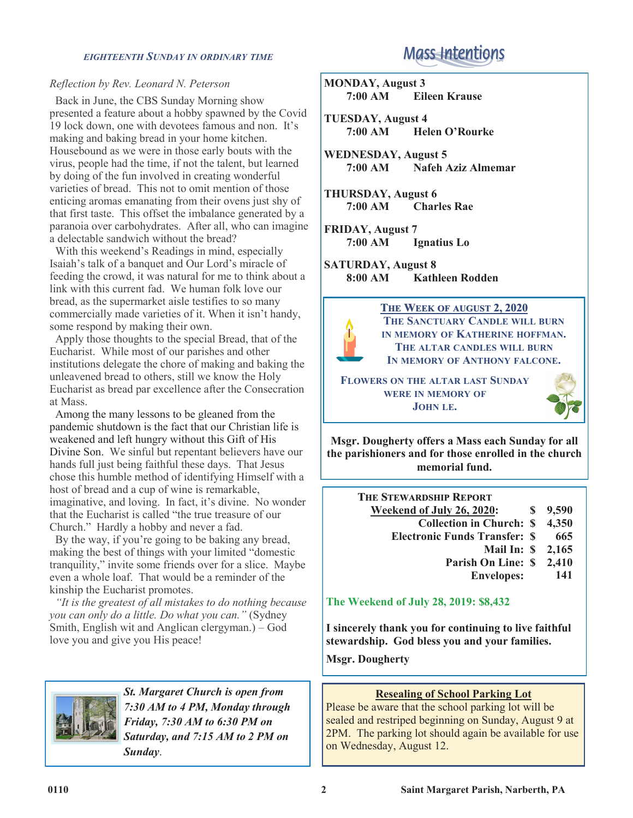#### *EIGHTEENTH SUNDAY IN ORDINARY TIME*

#### *Reflection by Rev. Leonard N. Peterson*

 Back in June, the CBS Sunday Morning show presented a feature about a hobby spawned by the Covid 19 lock down, one with devotees famous and non. It's making and baking bread in your home kitchen. Housebound as we were in those early bouts with the virus, people had the time, if not the talent, but learned by doing of the fun involved in creating wonderful varieties of bread. This not to omit mention of those enticing aromas emanating from their ovens just shy of that first taste. This offset the imbalance generated by a paranoia over carbohydrates. After all, who can imagine a delectable sandwich without the bread?

 With this weekend's Readings in mind, especially Isaiah's talk of a banquet and Our Lord's miracle of feeding the crowd, it was natural for me to think about a link with this current fad. We human folk love our bread, as the supermarket aisle testifies to so many commercially made varieties of it. When it isn't handy, some respond by making their own.

 Apply those thoughts to the special Bread, that of the Eucharist. While most of our parishes and other institutions delegate the chore of making and baking the unleavened bread to others, still we know the Holy Eucharist as bread par excellence after the Consecration at Mass.

 Among the many lessons to be gleaned from the pandemic shutdown is the fact that our Christian life is weakened and left hungry without this Gift of His Divine Son. We sinful but repentant believers have our hands full just being faithful these days. That Jesus chose this humble method of identifying Himself with a host of bread and a cup of wine is remarkable, imaginative, and loving. In fact, it's divine. No wonder that the Eucharist is called "the true treasure of our Church." Hardly a hobby and never a fad.

 By the way, if you're going to be baking any bread, making the best of things with your limited "domestic tranquility," invite some friends over for a slice. Maybe even a whole loaf. That would be a reminder of the kinship the Eucharist promotes.

 *"It is the greatest of all mistakes to do nothing because you can only do a little. Do what you can."* (Sydney Smith, English wit and Anglican clergyman.) – God love you and give you His peace!



*St. Margaret Church is open from 7:30 AM to 4 PM, Monday through Friday, 7:30 AM to 6:30 PM on Saturday, and 7:15 AM to 2 PM on Sunday*.

# **Mass Intentions**

**MONDAY, August 3 7:00 AM Eileen Krause**

- **TUESDAY, August 4 7:00 AM Helen O'Rourke**
- **WEDNESDAY, August 5 7:00 AM Nafeh Aziz Almemar**
- **THURSDAY, August 6 7:00 AM Charles Rae**
- **FRIDAY, August 7 7:00 AM Ignatius Lo**

**SATURDAY, August 8 8:00 AM Kathleen Rodden**

#### **THE WEEK OF AUGUST 2, 2020**



**THE SANCTUARY CANDLE WILL BURN IN MEMORY OF KATHERINE HOFFMAN. THE ALTAR CANDLES WILL BURN IN MEMORY OF ANTHONY FALCONE.**

**FLOWERS ON THE ALTAR LAST SUNDAY WERE IN MEMORY OF JOHN LE.**



**Msgr. Dougherty offers a Mass each Sunday for all the parishioners and for those enrolled in the church memorial fund.**

| <b>THE STEWARDSHIP REPORT</b>        |   |       |
|--------------------------------------|---|-------|
| Weekend of July 26, 2020:            | S | 9,590 |
| Collection in Church: \$4,350        |   |       |
| <b>Electronic Funds Transfer: \$</b> |   | 665   |
| Mail In: \$ 2,165                    |   |       |
| <b>Parish On Line: \$</b>            |   | 2,410 |
| <b>Envelopes:</b>                    |   | 141   |

**The Weekend of July 28, 2019: \$8,432**

**I sincerely thank you for continuing to live faithful stewardship. God bless you and your families.**

**Msgr. Dougherty**

#### **Resealing of School Parking Lot**

Please be aware that the school parking lot will be sealed and restriped beginning on Sunday, August 9 at 2PM. The parking lot should again be available for use on Wednesday, August 12.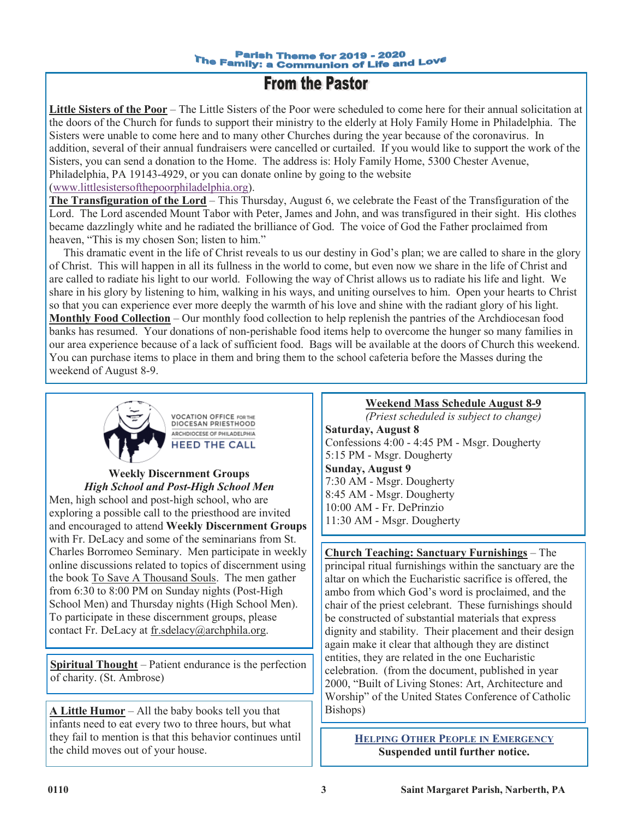# **From the Pastor**

**Little Sisters of the Poor** – The Little Sisters of the Poor were scheduled to come here for their annual solicitation at the doors of the Church for funds to support their ministry to the elderly at Holy Family Home in Philadelphia. The Sisters were unable to come here and to many other Churches during the year because of the coronavirus. In addition, several of their annual fundraisers were cancelled or curtailed. If you would like to support the work of the Sisters, you can send a donation to the Home. The address is: Holy Family Home, 5300 Chester Avenue, Philadelphia, PA 19143-4929, or you can donate online by going to the website [\(www.littlesistersofthepoorphiladelphia.org\).](http://www.littlesistersofthepoorphiladelphia.org)

**The Transfiguration of the Lord** – This Thursday, August 6, we celebrate the Feast of the Transfiguration of the Lord. The Lord ascended Mount Tabor with Peter, James and John, and was transfigured in their sight. His clothes became dazzlingly white and he radiated the brilliance of God. The voice of God the Father proclaimed from heaven, "This is my chosen Son; listen to him."

 This dramatic event in the life of Christ reveals to us our destiny in God's plan; we are called to share in the glory of Christ. This will happen in all its fullness in the world to come, but even now we share in the life of Christ and are called to radiate his light to our world. Following the way of Christ allows us to radiate his life and light. We share in his glory by listening to him, walking in his ways, and uniting ourselves to him. Open your hearts to Christ so that you can experience ever more deeply the warmth of his love and shine with the radiant glory of his light. **Monthly Food Collection** – Our monthly food collection to help replenish the pantries of the Archdiocesan food banks has resumed. Your donations of non-perishable food items help to overcome the hunger so many families in our area experience because of a lack of sufficient food. Bags will be available at the doors of Church this weekend. You can purchase items to place in them and bring them to the school cafeteria before the Masses during the weekend of August 8-9.



#### **Weekly Discernment Groups** *High School and Post-High School Men*

Men, high school and post-high school, who are exploring a possible call to the priesthood are invited and encouraged to attend **Weekly Discernment Groups** with Fr. DeLacy and some of the seminarians from St. Charles Borromeo Seminary. Men participate in weekly online discussions related to topics of discernment using the book To Save A Thousand Souls. The men gather from 6:30 to 8:00 PM on Sunday nights (Post-High School Men) and Thursday nights (High School Men). To participate in these discernment groups, please contact Fr. DeLacy at fr.sdelacy@archphila.org.

**Spiritual Thought** – Patient endurance is the perfection of charity. (St. Ambrose)

**A Little Humor** – All the baby books tell you that infants need to eat every two to three hours, but what they fail to mention is that this behavior continues until the child moves out of your house.

### **Weekend Mass Schedule August 8-9**

*(Priest scheduled is subject to change)* **Saturday, August 8** Confessions 4:00 - 4:45 PM - Msgr. Dougherty 5:15 PM - Msgr. Dougherty **Sunday, August 9** 7:30 AM - Msgr. Dougherty 8:45 AM - Msgr. Dougherty 10:00 AM - Fr. DePrinzio 11:30 AM - Msgr. Dougherty

**Church Teaching: Sanctuary Furnishings** – The principal ritual furnishings within the sanctuary are the altar on which the Eucharistic sacrifice is offered, the ambo from which God's word is proclaimed, and the chair of the priest celebrant. These furnishings should be constructed of substantial materials that express dignity and stability. Their placement and their design again make it clear that although they are distinct entities, they are related in the one Eucharistic celebration. (from the document, published in year 2000, "Built of Living Stones: Art, Architecture and Worship" of the United States Conference of Catholic Bishops)

#### **HELPING OTHER PEOPLE IN EMERGENCY Suspended until further notice.**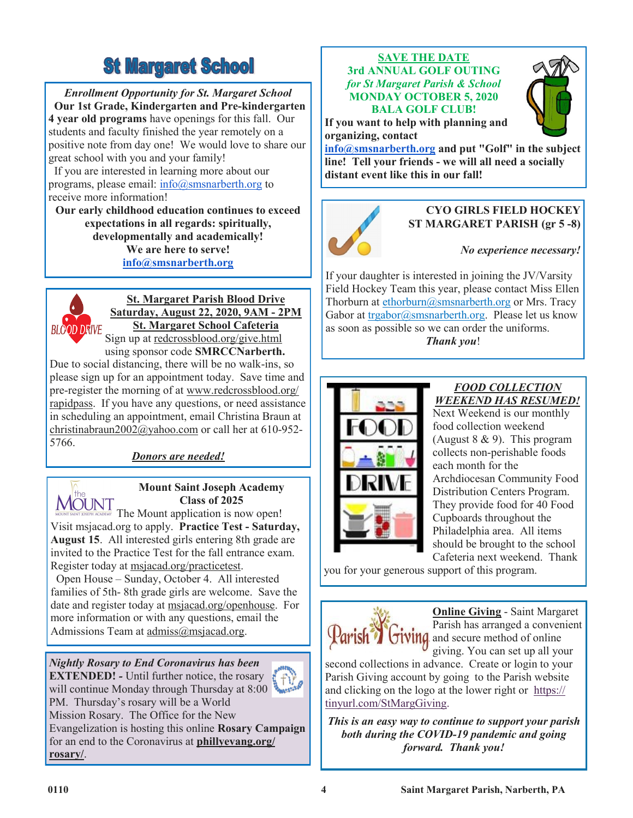# **St Margaret School**

*Enrollment Opportunity for St. Margaret School*  **Our 1st Grade, Kindergarten and Pre-kindergarten 4 year old programs** have openings for this fall. Our students and faculty finished the year remotely on a positive note from day one! We would love to share our great school with you and your family! If you are interested in learning more about our

programs, please email:  $info(a)$ smsnarberth.org to receive more information!

**Our early childhood education continues to exceed expectations in all regards: spiritually, developmentally and academically! We are here to serve! [info@smsnarberth.org](mailto:info@smsnarberth.org)**



**St. Margaret Parish Blood Drive Saturday, August 22, 2020, 9AM - 2PM St. Margaret School Cafeteria** Sign up at redcrossblood.org/give.html

using sponsor code **SMRCCNarberth.**

Due to social distancing, there will be no walk-ins, so please sign up for an appointment today. Save time and pre-register the morning of at www.redcrossblood.org/ rapidpass. If you have any questions, or need assistance in scheduling an appointment, email Christina Braun at christinabraun2002@yahoo.com or call her at 610-952- 5766.

*Donors are needed!*



### **Mount Saint Joseph Academy Class of 2025**

The Mount application is now open! Visit msjacad.org to apply. **Practice Test - Saturday, August 15**. All interested girls entering 8th grade are invited to the Practice Test for the fall entrance exam. Register today at msjacad.org/practicetest.

 Open House – Sunday, October 4. All interested families of 5th- 8th grade girls are welcome. Save the date and register today at msjacad.org/openhouse. For more information or with any questions, email the Admissions Team at admiss@msjacad.org.

*Nightly Rosary to End Coronavirus has been*  **EXTENDED!** *-* Until further notice, the rosary  $\mathbf{u}$ Flan will continue Monday through Thursday at 8:00 PM. Thursday's rosary will be a World Mission Rosary. The Office for the New Evangelization is hosting this online **Rosary Campaign** for an end to the Coronavirus at **phillyevang.org/ rosary/**.

#### **SAVE THE DATE 3rd ANNUAL GOLF OUTING** *for St Margaret Parish & School* **MONDAY OCTOBER 5, 2020 BALA GOLF CLUB!**



**If you want to help with planning and organizing, contact** 

**[info@smsnarberth.org](mailto:info@smsnarberth.org) and put "Golf" in the subject line! Tell your friends - we will all need a socially distant event like this in our fall!**



### **CYO GIRLS FIELD HOCKEY ST MARGARET PARISH (gr 5 -8)**

# *No experience necessary!*

If your daughter is interested in joining the JV/Varsity Field Hockey Team this year, please contact Miss Ellen Thorburn at [ethorburn@smsnarberth.org](mailto:ethorburn@smsnarberth.org) or Mrs. Tracy Gabor at [trgabor@smsnarberth.org.](mailto:trgabor@smsnarberth.org) Please let us know as soon as possible so we can order the uniforms. *Thank you*!



#### *FOOD COLLECTION WEEKEND HAS RESUMED!*

Next Weekend is our monthly food collection weekend (August  $8 \& 9$ ). This program collects non-perishable foods each month for the Archdiocesan Community Food Distribution Centers Program. They provide food for 40 Food Cupboards throughout the Philadelphia area. All items should be brought to the school Cafeteria next weekend. Thank

you for your generous support of this program.



**Online Giving** - Saint Margaret Parish has arranged a convenient Parish<sup>7</sup> Giving and secure method of online giving. You can set up all your

second collections in advance. Create or login to your Parish Giving account by going to the Parish website and clicking on the logo at the lower right or [https://](https://tinyurl.com/StMargGiving) [tinyurl.com/StMargGiving.](https://tinyurl.com/StMargGiving)

*This is an easy way to continue to support your parish both during the COVID-19 pandemic and going forward. Thank you!*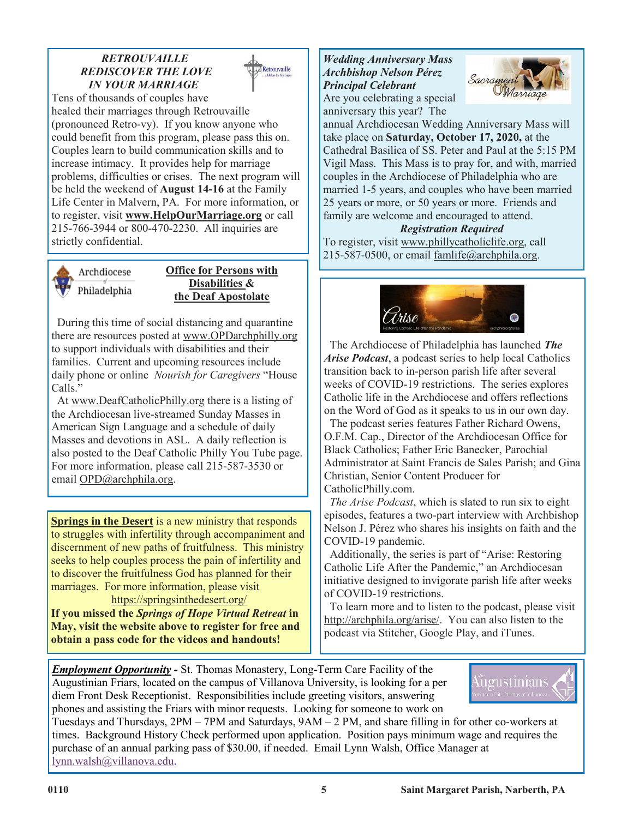#### *RETROUVAILLE REDISCOVER THE LOVE IN YOUR MARRIAGE*

**Retrouvaille** 

Tens of thousands of couples have healed their marriages through Retrouvaille (pronounced Retro-vy). If you know anyone who could benefit from this program, please pass this on. Couples learn to build communication skills and to increase intimacy. It provides help for marriage problems, difficulties or crises. The next program will be held the weekend of **August 14-16** at the Family Life Center in Malvern, PA. For more information, or to register, visit **[www.HelpOurMarriage.org](http://www.helpourmarriage.org/)** or call 215-766-3944 or 800-470-2230. All inquiries are strictly confidential.



#### **Office for Persons with Disabilities & the Deaf Apostolate**

 During this time of social distancing and quarantine there are resources posted at www.OPDarchphilly.org to support individuals with disabilities and their families. Current and upcoming resources include daily phone or online *Nourish for Caregivers* "House Calls."

 At www.DeafCatholicPhilly.org there is a listing of the Archdiocesan live-streamed Sunday Masses in American Sign Language and a schedule of daily Masses and devotions in ASL. A daily reflection is also posted to the Deaf Catholic Philly You Tube page. For more information, please call 215-587-3530 or email OPD@archphila.org.

**Springs in the Desert** is a new ministry that responds to struggles with infertility through accompaniment and discernment of new paths of fruitfulness. This ministry seeks to help couples process the pain of infertility and to discover the fruitfulness God has planned for their marriages. For more information, please visit https://springsinthedesert.org/

**If you missed the** *Springs of Hope Virtual Retreat* **in May, visit the website above to register for free and obtain a pass code for the videos and handouts!**

*Wedding Anniversary Mass Archbishop Nelson Pérez Principal Celebrant* Are you celebrating a special anniversary this year? The



annual Archdiocesan Wedding Anniversary Mass will take place on **Saturday, October 17, 2020,** at the Cathedral Basilica of SS. Peter and Paul at the 5:15 PM Vigil Mass. This Mass is to pray for, and with, married couples in the Archdiocese of Philadelphia who are married 1-5 years, and couples who have been married 25 years or more, or 50 years or more. Friends and family are welcome and encouraged to attend.

## *Registration Required*

To register, visit www.phillycatholiclife.org, call 215-587-0500, or email famlife@archphila.org.



 The Archdiocese of Philadelphia has launched *The Arise Podcast*, a podcast series to help local Catholics transition back to in-person parish life after several weeks of COVID-19 restrictions. The series explores Catholic life in the Archdiocese and offers reflections on the Word of God as it speaks to us in our own day.

 The podcast series features Father Richard Owens, O.F.M. Cap., Director of the Archdiocesan Office for Black Catholics; Father Eric Banecker, Parochial Administrator at Saint Francis de Sales Parish; and Gina Christian, Senior Content Producer for CatholicPhilly.com.

 *The Arise Podcast*, which is slated to run six to eight episodes, features a two-part interview with Archbishop Nelson J. Pérez who shares his insights on faith and the COVID-19 pandemic.

 Additionally, the series is part of "Arise: Restoring Catholic Life After the Pandemic," an Archdiocesan initiative designed to invigorate parish life after weeks of COVID-19 restrictions.

 To learn more and to listen to the podcast, please visit http://archphila.org/arise/. You can also listen to the podcast via Stitcher, Google Play, and iTunes.

**Employment Opportunity** - St. Thomas Monastery, Long-Term Care Facility of the Augustinian Friars, located on the campus of Villanova University, is looking for a per diem Front Desk Receptionist. Responsibilities include greeting visitors, answering phones and assisting the Friars with minor requests. Looking for someone to work on



Tuesdays and Thursdays, 2PM – 7PM and Saturdays, 9AM – 2 PM, and share filling in for other co-workers at times. Background History Check performed upon application. Position pays minimum wage and requires the purchase of an annual parking pass of \$30.00, if needed. Email Lynn Walsh, Office Manager at [lynn.walsh@villanova.edu.](mailto:lynn.walsh@villanova.edu)